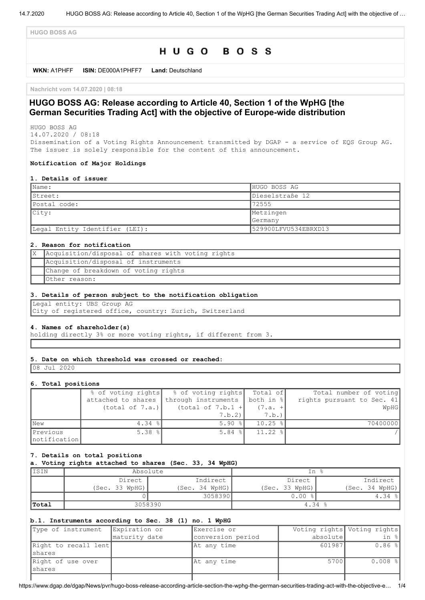**HUGO BOSS AG**

# HUGO BOSS

**WKN:** A1PHFF **ISIN:** DE000A1PHFF7 **Land:** Deutschland

**Nachricht vom 14.07.2020 | 08:18**

# **HUGO BOSS AG: Release according to Article 40, Section 1 of the WpHG [the German Securities Trading Act] with the objective of Europe-wide distribution**

HUGO BOSS AG 14.07.2020 / 08:18

Dissemination of a Voting Rights Announcement transmitted by DGAP - a service of EQS Group AG. The issuer is solely responsible for the content of this announcement.

### **Notification of Major Holdings**

#### **1. Details of issuer**

| $\blacksquare$ Name:           | HUGO BOSS AG         |  |
|--------------------------------|----------------------|--|
| Street:                        | Dieselstraße 12      |  |
| Postal code:                   | 72555                |  |
| $ $ City:                      | Metzingen            |  |
|                                | Germany              |  |
| Legal Entity Identifier (LEI): | 529900LFVU534EBRXD13 |  |

## **2. Reason for notification**

| Acquisition/disposal of shares with voting rights |
|---------------------------------------------------|
| Acquisition/disposal of instruments               |
| Change of breakdown of voting rights              |
| Other reason:                                     |

#### **3. Details of person subject to the notification obligation**

Legal entity: UBS Group AG City of registered office, country: Zurich, Switzerland

## **4. Names of shareholder(s)**

holding directly 3% or more voting rights, if different from 3.

#### **5. Date on which threshold was crossed or reached:**

08 Jul 2020

#### **6. Total positions**

|              | % of voting rights | % of voting rights Total of     |              | Total number of voting     |
|--------------|--------------------|---------------------------------|--------------|----------------------------|
|              | attached to shares | through instruments   both in % |              | rights pursuant to Sec. 41 |
|              | (total of 7.a.)    | (total of $7.b.1 +$             | $(7.a. +$    | WpHG                       |
|              |                    | 7.b.2                           | 7.b.)        |                            |
| New          | $4.34$ $ $         | $5.90$ $\frac{8}{1}$            | $10.25$ %    | 70400000                   |
| Previous     | 5.38 $\frac{8}{1}$ | $5.84$ $\frac{8}{1}$            | $11.22$ $  $ |                            |
| notification |                    |                                 |              |                            |

### **7. Details on total positions**

## **a. Voting rights attached to shares (Sec. 33, 34 WpHG)**

| IISIN | Absolute           |                  | In %               |                       |
|-------|--------------------|------------------|--------------------|-----------------------|
|       | Indirect<br>Direct |                  | Indirect<br>Direct |                       |
|       | (Sec. 33 WpHG)     | (Sec. 34 WpHG) ) | (Sec. 33 WpHG)     | (Sec. 34 WpHG)        |
|       |                    | 3058390          | 0.00               | 4.34<br>$\frac{8}{6}$ |
| Total | 3058390            |                  | 4.34 $%$           |                       |

### **b.1. Instruments according to Sec. 38 (1) no. 1 WpHG**

| Type of instrument   | Expiration or | Exercise or       |          | Voting rights Voting rights |
|----------------------|---------------|-------------------|----------|-----------------------------|
|                      | maturity date | conversion period | absolute | in %                        |
| Right to recall lent |               | At any time       | 601987   | $0.86$ %                    |
| Ishares              |               |                   |          |                             |
| Right of use over    |               | At any time       | 5700     | $0.008$ %                   |
| Ishares              |               |                   |          |                             |
|                      |               |                   |          |                             |

https://www.dgap.de/dgap/News/pvr/hugo-boss-release-according-article-section-the-wphg-the-german-securities-trading-act-with-the-objective-e… 1/4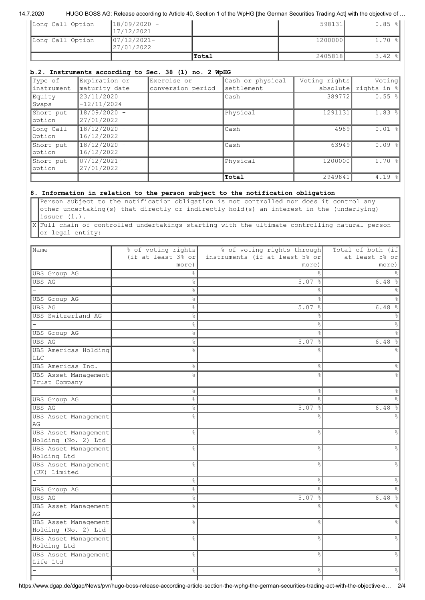## 14.7.2020 HUGO BOSS AG: Release according to Article 40, Section 1 of the WpHG [the German Securities Trading Act] with the objective of …

|                  |                               | Total | 2405818 | $3.42$ $  $          |
|------------------|-------------------------------|-------|---------|----------------------|
| Long Call Option | $ 07/12/2021 -$<br>27/01/2022 |       | 1200000 | $1.70$ $  $          |
| Long Call Option | $18/09/2020 -$<br>17/12/2021  |       | 598131  | $0.85$ $\frac{8}{1}$ |

# **b.2. Instruments according to Sec. 38 (1) no. 2 WpHG**

| Type of     | Expiration or | Exercise or       | Cash or physical | Voting rights | Voting      |
|-------------|---------------|-------------------|------------------|---------------|-------------|
| linstrument | maturity date | conversion period | settlement       | absolute      | rights in % |
| Equity      | 23/11/2020    |                   | lCash            | 389772        | $0.55$ %    |
| Swaps       | $-12/11/2024$ |                   |                  |               |             |
| Short put   | 18/09/2020 -  |                   | Physical         | 1291131       | $1.83$ $ $  |
| option      | 27/01/2022    |                   |                  |               |             |
| Long Call   | 18/12/2020 -  |                   | Cash             | 4989          | $0.01$ %    |
| Option      | 16/12/2022    |                   |                  |               |             |
| Short put   | 18/12/2020 -  |                   | Cash             | 63949         | 0.09%       |
| option      | 16/12/2022    |                   |                  |               |             |
| Short put   | 07/12/2021-   |                   | Physical         | 1200000       | $1.70$ %    |
| option      | 27/01/2022    |                   |                  |               |             |
|             |               |                   | Total            | 2949841       | 4.19%       |

# **8. Information in relation to the person subject to the notification obligation**

Person subject to the notification obligation is not controlled nor does it control any other undertaking(s) that directly or indirectly hold(s) an interest in the (underlying) issuer (1.).

X Full chain of controlled undertakings starting with the ultimate controlling natural person or legal entity:

| Name                                        | % of voting rights             | % of voting rights through     | Total of both (if |
|---------------------------------------------|--------------------------------|--------------------------------|-------------------|
|                                             | (if at least $3\frac{8}{9}$ or | instruments (if at least 5% or | at least 5% or    |
|                                             | more)                          | more)                          | more)             |
| <b>UBS</b> Group AG                         | ⊱                              | ⊱                              |                   |
| <b>UBS AG</b>                               | 응                              | 5.07%                          | 6.48%             |
|                                             | 응                              | ٩,                             |                   |
| <b>UBS</b> Group AG                         | 옹                              | ⊱                              |                   |
| UBS AG                                      | o <sub>o</sub>                 | 5.07%                          | 6.48%             |
| UBS Switzerland AG                          | 옹                              | $\%$                           |                   |
|                                             | 옹                              | $\frac{8}{6}$                  |                   |
| <b>UBS</b> Group AG                         | o.                             | &                              |                   |
| UBS AG                                      | o <sub>o</sub>                 | $5.07$ %                       | 6.48              |
| UBS Americas Holding                        | 응                              | $\approx$                      |                   |
| <b>LLC</b>                                  |                                |                                |                   |
| UBS Americas Inc.                           | 옹                              | &                              | ⊱                 |
| UBS Asset Management                        | $\frac{1}{2}$                  | $\approx$                      |                   |
| Trust Company                               |                                |                                |                   |
|                                             | 옹                              | $\%$                           |                   |
| UBS Group AG                                | 。<br>8                         | $\frac{1}{2}$                  |                   |
| UBS AG                                      | 。<br>8                         | 5.07%                          | 6.48              |
| UBS Asset Management                        | ٥Ŗ                             | ⊱                              |                   |
| AG                                          |                                |                                |                   |
| UBS Asset Management                        | ٩,                             | $\approx$                      |                   |
| Holding (No. 2) Ltd                         |                                |                                |                   |
| UBS Asset Management                        | 옹                              | $\%$                           |                   |
| Holding Ltd                                 |                                |                                |                   |
| UBS Asset Management                        | 옹                              | $\approx$                      |                   |
| (UK) Limited                                |                                |                                |                   |
|                                             | 옹                              | &                              |                   |
| UBS Group AG                                | o,                             | $\frac{1}{2}$                  |                   |
| UBS AG                                      | o <sub>o</sub>                 | 5.07%                          | 6.48%             |
| UBS Asset Management                        | ٥Ŗ                             | ⊱                              |                   |
| AG                                          |                                |                                |                   |
| UBS Asset Management<br>Holding (No. 2) Ltd | $\frac{1}{2}$                  | $\approx$                      |                   |
| UBS Asset Management                        | 옹                              | &                              |                   |
| Holding Ltd                                 |                                |                                |                   |
| <b>UBS Asset Management</b>                 | 옹                              | $\%$                           |                   |
| Life Ltd                                    |                                |                                |                   |
|                                             | ٥ę                             | °                              | ⊱                 |
|                                             |                                |                                |                   |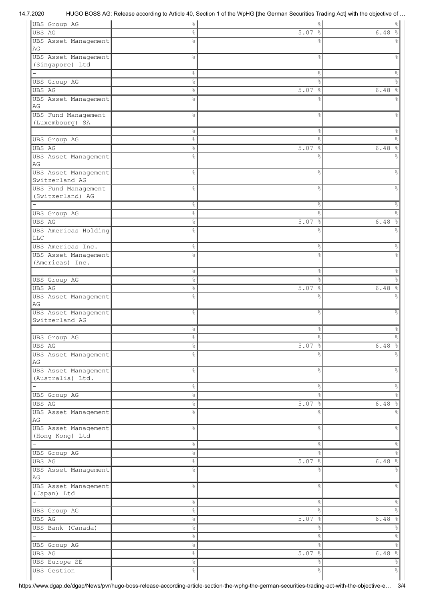# 14.7.2020 HUGO BOSS AG: Release according to Article 40, Section 1 of the WpHG [the German Securities Trading Act] with the objective of …

| UBS Group AG               | $\%$           | $\%$                  | $\frac{1}{6}$                |
|----------------------------|----------------|-----------------------|------------------------------|
| UBS AG                     | 옹              | 5.07%                 | 6.48                         |
| UBS Asset Management<br>AG | 옹              | ℅                     |                              |
| UBS Asset Management       | $\frac{6}{6}$  | $\%$                  | ٥R                           |
| (Singapore) Ltd            |                |                       |                              |
|                            | $\%$           | $\%$                  | &                            |
| UBS Group AG               | 옹              | $\%$                  | ٥Ŗ                           |
| UBS AG                     | 옹              | 5.07<br>$\frac{6}{6}$ | 6.48<br>$\frac{6}{5}$        |
| UBS Asset Management       | o <sub>o</sub> | ٥Ŗ                    |                              |
| AG                         |                |                       |                              |
| UBS Fund Management        | 옹              | &                     | ℅                            |
| (Luxembourg) SA            |                |                       |                              |
|                            | $\%$           | $\%$                  | 옹                            |
| UBS Group AG               | $\%$           | $\%$                  | g                            |
| UBS AG                     | 。<br>8         | $\frac{6}{6}$<br>5.07 | $\%$<br>6.48                 |
| UBS Asset Management       | 옹              | $\frac{6}{6}$         |                              |
| AG                         |                |                       |                              |
| UBS Asset Management       | $\frac{6}{6}$  | $\%$                  | ٥R                           |
| Switzerland AG             |                |                       |                              |
| UBS Fund Management        | 옹              | &                     | ٥R                           |
| (Switzerland) AG           |                |                       |                              |
|                            | $\%$           | $\%$                  | 옹                            |
| UBS Group AG               | $\%$           | &                     | g                            |
| <b>UBS AG</b>              | $\%$           | 5.07%                 | 6.48<br>ိင                   |
| UBS Americas Holding       | 옹              | ٥Ŗ                    |                              |
| <b>LLC</b>                 |                |                       |                              |
| UBS Americas Inc.          | &              | &                     | &                            |
| UBS Asset Management       | g              | g                     |                              |
| (Americas) Inc.            |                |                       |                              |
|                            | $\%$           | $\%$                  | &                            |
| UBS Group AG               | $\%$           | $\approx$             | g                            |
| <b>UBS AG</b>              | $\%$           | 5.07%                 | 6.48<br>$\frac{6}{\sqrt{2}}$ |
| UBS Asset Management       | 옹              | ٥Ŗ                    |                              |
| AG                         |                |                       |                              |
| UBS Asset Management       | 옹              | &                     | $\frac{6}{10}$               |
| Switzerland AG             |                |                       |                              |
|                            | °              | &                     | &                            |
| UBS Group AG               | &              | $\frac{6}{5}$         | e<br>8                       |
| UBS AG                     | $\%$           | 5.07%                 | 6.48%                        |
| UBS Asset Management       | 옹              | ⊱                     |                              |
| AG                         |                |                       |                              |
| UBS Asset Management       | 옹              | $\frac{8}{6}$         | &                            |
| (Australia) Ltd.           |                |                       |                              |
|                            | $\%$           | $\%$                  | $\%$                         |
| UBS Group AG               | $\%$           | $\%$                  | $\%$                         |
| UBS AG                     | $\%$           | $5.07$ %              | 6.48%                        |
| UBS Asset Management       | $\frac{6}{5}$  | $\approx$             | ٥Ŗ                           |
| $\mathbb{A}\mathbb{G}$     |                |                       |                              |
| UBS Asset Management       | &              | &                     | $\%$                         |
| (Hong Kong) Ltd            |                |                       |                              |
|                            | $\%$           | $\%$                  | $\%$                         |
| <b>UBS</b> Group AG        | $\%$           | $\%$                  | $\frac{1}{6}$                |
| UBS AG                     | $\%$           | $5.07$ %              | $6.48$ %                     |
| UBS Asset Management       | $\frac{6}{5}$  | &                     | °                            |
| AG                         |                |                       |                              |
| UBS Asset Management       | 옹              | $\%$                  | &                            |
| (Japan) Ltd                |                |                       |                              |
|                            | $\%$           | $\frac{8}{6}$         | $\%$                         |
| <b>UBS</b> Group AG        | 옹              | $\%$                  | $\%$                         |
| UBS AG                     | 옹              | 5.07%                 | 6.48%                        |
| UBS Bank (Canada)          | $\%$           | $\%$                  | $\%$                         |
|                            | 옹              | $\%$                  |                              |
|                            |                |                       | $\%$                         |
| <b>UBS</b> Group AG        | °              | $\%$                  | $\%$                         |
| UBS AG                     | $\%$           | $5.07$ %              | 6.48%                        |
| UBS Europe SE              | $\%$           | $\%$                  | $\frac{1}{\sqrt{2}}$         |
| <b>UBS</b> Gestion         | $\%$           | $\frac{1}{\sqrt{2}}$  | $\frac{1}{\sqrt{2}}$         |